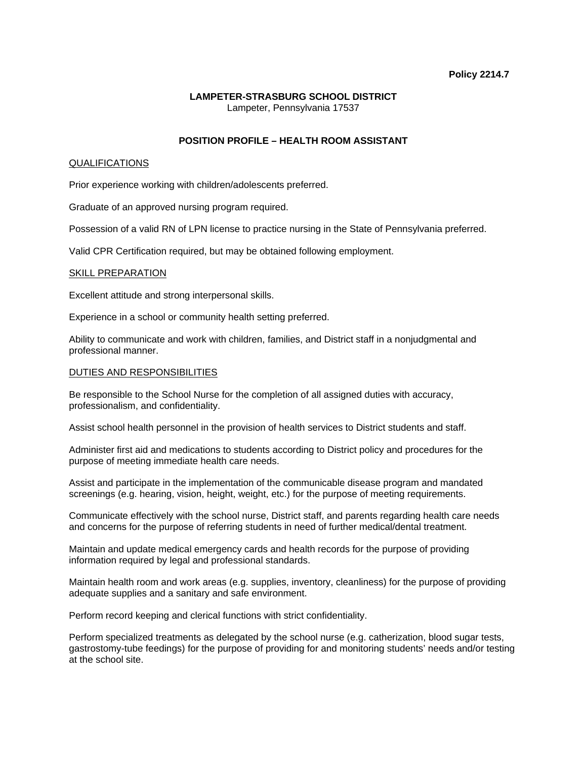#### **Policy 2214.7**

## **LAMPETER-STRASBURG SCHOOL DISTRICT**  Lampeter, Pennsylvania 17537

# **POSITION PROFILE – HEALTH ROOM ASSISTANT**

#### QUALIFICATIONS

Prior experience working with children/adolescents preferred.

Graduate of an approved nursing program required.

Possession of a valid RN of LPN license to practice nursing in the State of Pennsylvania preferred.

Valid CPR Certification required, but may be obtained following employment.

#### SKILL PREPARATION

Excellent attitude and strong interpersonal skills.

Experience in a school or community health setting preferred.

Ability to communicate and work with children, families, and District staff in a nonjudgmental and professional manner.

#### DUTIES AND RESPONSIBILITIES

Be responsible to the School Nurse for the completion of all assigned duties with accuracy, professionalism, and confidentiality.

Assist school health personnel in the provision of health services to District students and staff.

Administer first aid and medications to students according to District policy and procedures for the purpose of meeting immediate health care needs.

Assist and participate in the implementation of the communicable disease program and mandated screenings (e.g. hearing, vision, height, weight, etc.) for the purpose of meeting requirements.

Communicate effectively with the school nurse, District staff, and parents regarding health care needs and concerns for the purpose of referring students in need of further medical/dental treatment.

Maintain and update medical emergency cards and health records for the purpose of providing information required by legal and professional standards.

Maintain health room and work areas (e.g. supplies, inventory, cleanliness) for the purpose of providing adequate supplies and a sanitary and safe environment.

Perform record keeping and clerical functions with strict confidentiality.

Perform specialized treatments as delegated by the school nurse (e.g. catherization, blood sugar tests, gastrostomy-tube feedings) for the purpose of providing for and monitoring students' needs and/or testing at the school site.